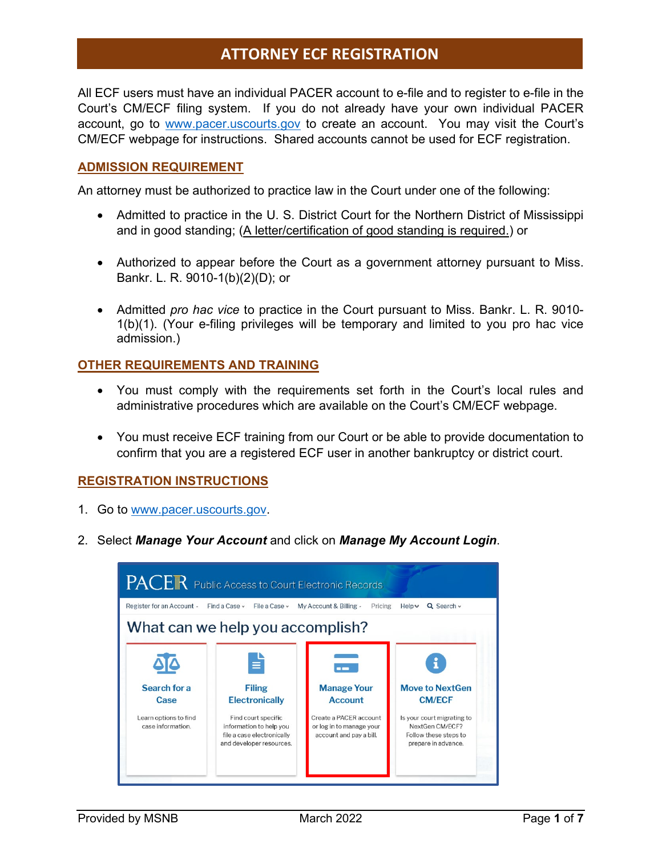## **ATTORNEY ECF REGISTRATION**

All ECF users must have an individual PACER account to e-file and to register to e-file in the Court's CM/ECF filing system. If you do not already have your own individual PACER account, go to [www.pacer.uscourts.gov](http://www.pacer.uscourts.gov/) to create an account. You may visit the Court's CM/ECF webpage for instructions. Shared accounts cannot be used for ECF registration.

#### **ADMISSION REQUIREMENT**

An attorney must be authorized to practice law in the Court under one of the following:

- Admitted to practice in the U. S. District Court for the Northern District of Mississippi and in good standing; (A letter/certification of good standing is required.) or
- Authorized to appear before the Court as a government attorney pursuant to Miss. Bankr. L. R. 9010-1(b)(2)(D); or
- Admitted *pro hac vice* to practice in the Court pursuant to Miss. Bankr. L. R. 9010- 1(b)(1). (Your e-filing privileges will be temporary and limited to you pro hac vice admission.)

### **OTHER REQUIREMENTS AND TRAINING**

- You must comply with the requirements set forth in the Court's local rules and administrative procedures which are available on the Court's CM/ECF webpage.
- You must receive ECF training from our Court or be able to provide documentation to confirm that you are a registered ECF user in another bankruptcy or district court.

### **REGISTRATION INSTRUCTIONS**

- 1. Go to [www.pacer.uscourts.gov.](http://www.pacer.uscourts.gov/)
- 2. Select *Manage Your Account* and click on *Manage My Account Login*.

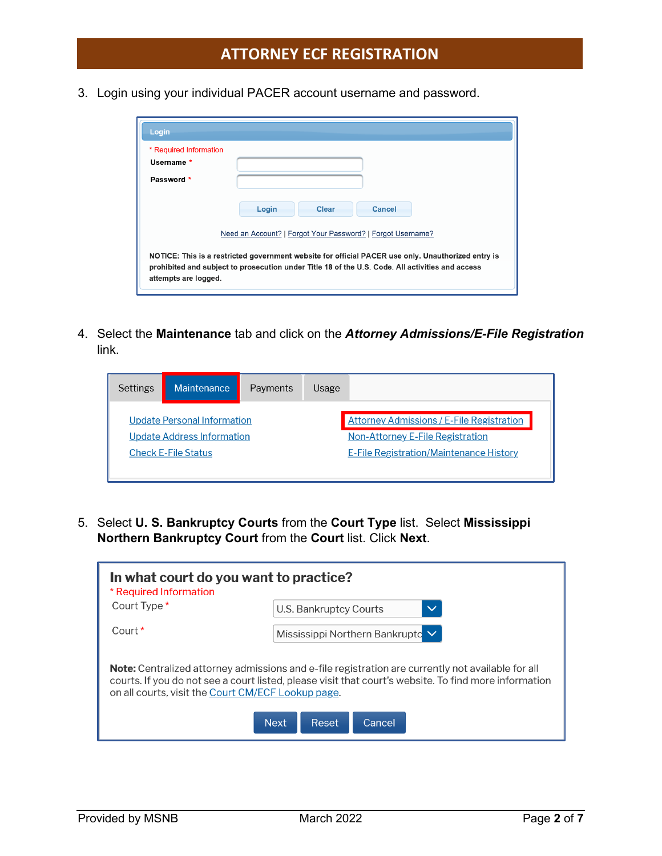3. Login using your individual PACER account username and password.

| Login                                                                                                                                                                                                                          |  |  |  |  |
|--------------------------------------------------------------------------------------------------------------------------------------------------------------------------------------------------------------------------------|--|--|--|--|
| * Required Information                                                                                                                                                                                                         |  |  |  |  |
| Username *                                                                                                                                                                                                                     |  |  |  |  |
| Password *                                                                                                                                                                                                                     |  |  |  |  |
| Login<br>Cancel<br><b>Clear</b><br>Need an Account?   Forgot Your Password?   Forgot Username?                                                                                                                                 |  |  |  |  |
| NOTICE: This is a restricted government website for official PACER use only. Unauthorized entry is<br>prohibited and subject to prosecution under Title 18 of the U.S. Code. All activities and access<br>attempts are logged. |  |  |  |  |

4. Select the **Maintenance** tab and click on the *Attorney Admissions/E-File Registration* link.

| Settings                                                                               | Maintenance | Payments | Usage                                          |  |
|----------------------------------------------------------------------------------------|-------------|----------|------------------------------------------------|--|
| <b>Attorney Admissions / E-File Registration</b><br><b>Update Personal Information</b> |             |          |                                                |  |
| <b>Update Address Information</b>                                                      |             |          | <b>Non-Attorney E-File Registration</b>        |  |
| <b>Check E-File Status</b>                                                             |             |          | <b>E-File Registration/Maintenance History</b> |  |
|                                                                                        |             |          |                                                |  |

5. Select **U. S. Bankruptcy Courts** from the **Court Type** list. Select **Mississippi Northern Bankruptcy Court** from the **Court** list. Click **Next**.

| In what court do you want to practice?<br>* Required Information                                                                                                                                                                                                        |                                        |  |  |  |  |  |
|-------------------------------------------------------------------------------------------------------------------------------------------------------------------------------------------------------------------------------------------------------------------------|----------------------------------------|--|--|--|--|--|
| Court Type *                                                                                                                                                                                                                                                            | U.S. Bankruptcy Courts<br>$\checkmark$ |  |  |  |  |  |
| Court <sup>*</sup>                                                                                                                                                                                                                                                      | Mississippi Northern Bankrupto V       |  |  |  |  |  |
| <b>Note:</b> Centralized attorney admissions and e-file registration are currently not available for all<br>courts. If you do not see a court listed, please visit that court's website. To find more information<br>on all courts, visit the Court CM/ECF Lookup page. |                                        |  |  |  |  |  |
|                                                                                                                                                                                                                                                                         | Cancel<br>Next.<br>Reset               |  |  |  |  |  |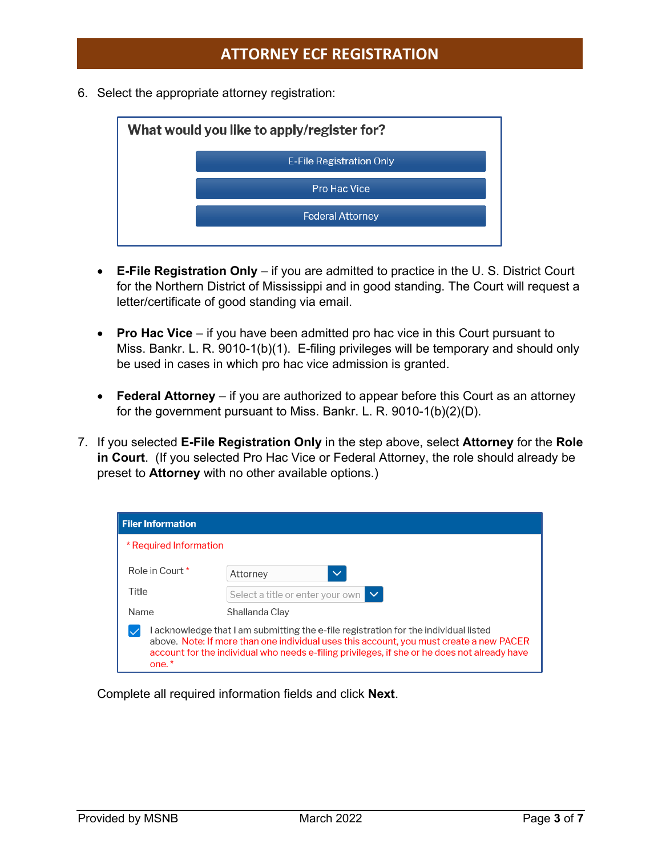6. Select the appropriate attorney registration:



- **E-File Registration Only** if you are admitted to practice in the U. S. District Court for the Northern District of Mississippi and in good standing. The Court will request a letter/certificate of good standing via email.
- **Pro Hac Vice**  if you have been admitted pro hac vice in this Court pursuant to Miss. Bankr. L. R. 9010-1(b)(1). E-filing privileges will be temporary and should only be used in cases in which pro hac vice admission is granted.
- **Federal Attorney**  if you are authorized to appear before this Court as an attorney for the government pursuant to Miss. Bankr. L. R. 9010-1(b)(2)(D).
- 7. If you selected **E-File Registration Only** in the step above, select **Attorney** for the **Role in Court**. (If you selected Pro Hac Vice or Federal Attorney, the role should already be preset to **Attorney** with no other available options.)

| <b>Filer Information</b>                                                                                                                                                                                                                                                                 |                                            |  |  |  |
|------------------------------------------------------------------------------------------------------------------------------------------------------------------------------------------------------------------------------------------------------------------------------------------|--------------------------------------------|--|--|--|
| * Required Information                                                                                                                                                                                                                                                                   |                                            |  |  |  |
| Role in Court *                                                                                                                                                                                                                                                                          | $\checkmark$<br>Attorney                   |  |  |  |
| Title                                                                                                                                                                                                                                                                                    | $\sim$<br>Select a title or enter your own |  |  |  |
| Name<br>Shallanda Clay                                                                                                                                                                                                                                                                   |                                            |  |  |  |
| Lacknowledge that Lam submitting the e-file registration for the individual listed<br>above. Note: If more than one individual uses this account, you must create a new PACER<br>account for the individual who needs e-filing privileges, if she or he does not already have<br>$one.*$ |                                            |  |  |  |

Complete all required information fields and click **Next**.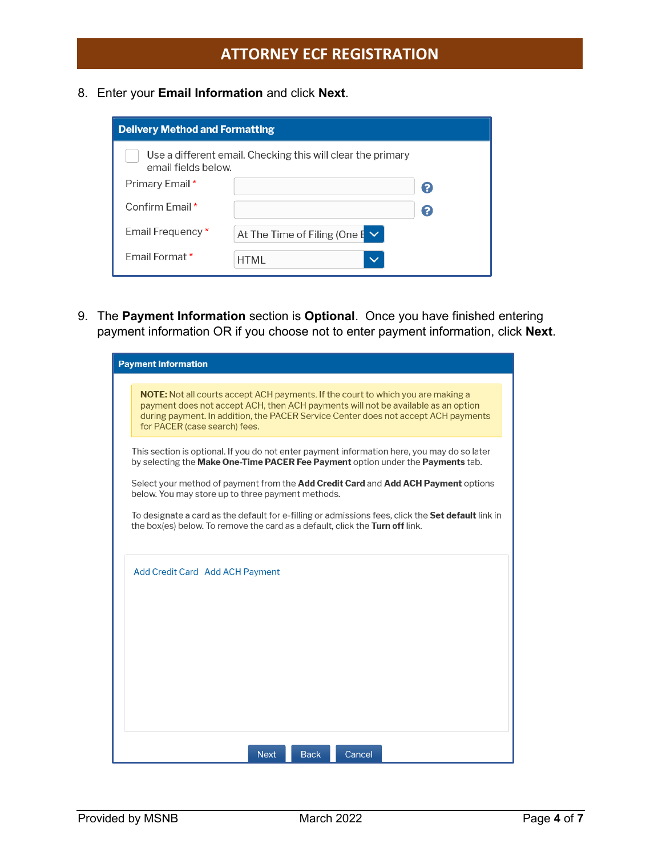8. Enter your **Email Information** and click **Next**.

| <b>Delivery Method and Formatting</b>                                              |                                     |    |  |  |  |
|------------------------------------------------------------------------------------|-------------------------------------|----|--|--|--|
| Use a different email. Checking this will clear the primary<br>email fields below. |                                     |    |  |  |  |
| Primary Email *                                                                    |                                     | 2  |  |  |  |
| Confirm Email *                                                                    |                                     | (? |  |  |  |
| Email Frequency *                                                                  | At The Time of Filing (One $E \vee$ |    |  |  |  |
| Email Format *                                                                     | <b>HTML</b><br>$\checkmark$         |    |  |  |  |

9. The **Payment Information** section is **Optional**. Once you have finished entering payment information OR if you choose not to enter payment information, click **Next**.

| <b>Payment Information</b>                                                                                                                                                                                                                                                                          |  |  |
|-----------------------------------------------------------------------------------------------------------------------------------------------------------------------------------------------------------------------------------------------------------------------------------------------------|--|--|
| <b>NOTE:</b> Not all courts accept ACH payments. If the court to which you are making a<br>payment does not accept ACH, then ACH payments will not be available as an option<br>during payment. In addition, the PACER Service Center does not accept ACH payments<br>for PACER (case search) fees. |  |  |
| This section is optional. If you do not enter payment information here, you may do so later<br>by selecting the Make One-Time PACER Fee Payment option under the Payments tab.                                                                                                                      |  |  |
| Select your method of payment from the Add Credit Card and Add ACH Payment options<br>below. You may store up to three payment methods.                                                                                                                                                             |  |  |
| To designate a card as the default for e-filling or admissions fees, click the <b>Set default</b> link in<br>the box(es) below. To remove the card as a default, click the Turn off link.                                                                                                           |  |  |
| Add Credit Card Add ACH Payment                                                                                                                                                                                                                                                                     |  |  |
| <b>Back</b><br>Cancel<br><b>Next</b>                                                                                                                                                                                                                                                                |  |  |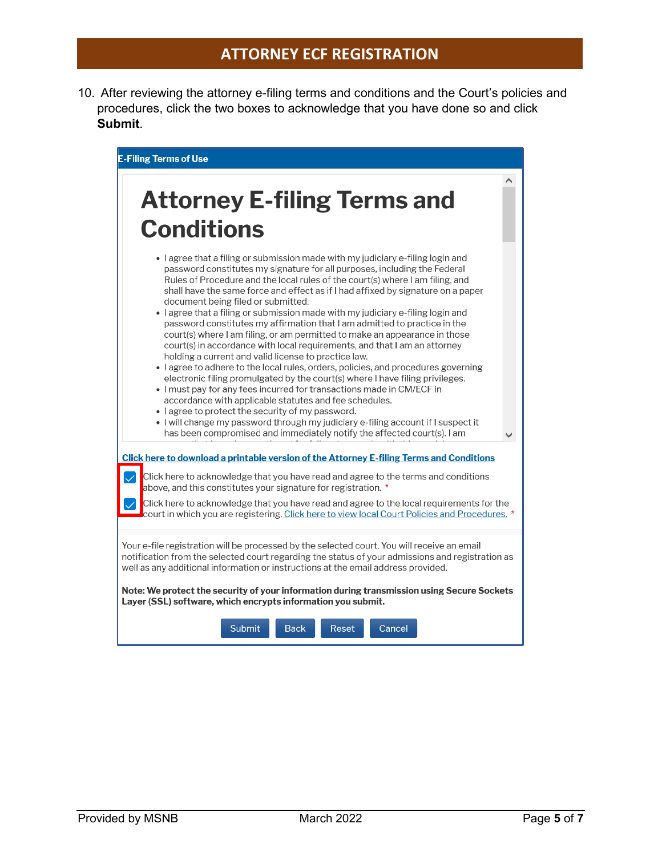10. After reviewing the attorney e-filing terms and conditions and the Court's policies and procedures, click the two boxes to acknowledge that you have done so and click **Submit**.

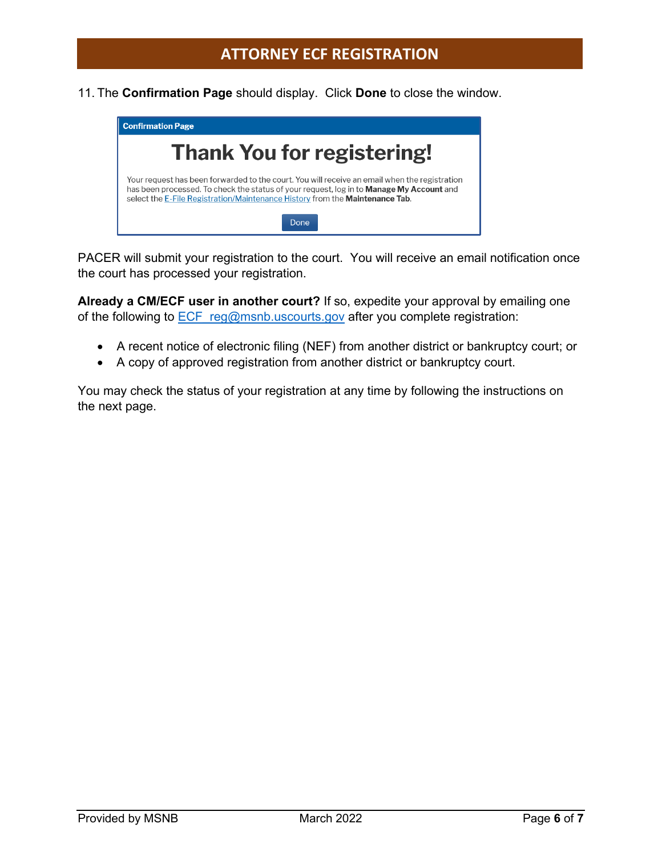11. The **Confirmation Page** should display. Click **Done** to close the window.



PACER will submit your registration to the court. You will receive an email notification once the court has processed your registration.

**Already a CM/ECF user in another court?** If so, expedite your approval by emailing one of the following to **ECF** reg@msnb.uscourts.gov after you complete registration:

- A recent notice of electronic filing (NEF) from another district or bankruptcy court; or
- A copy of approved registration from another district or bankruptcy court.

You may check the status of your registration at any time by following the instructions on the next page.